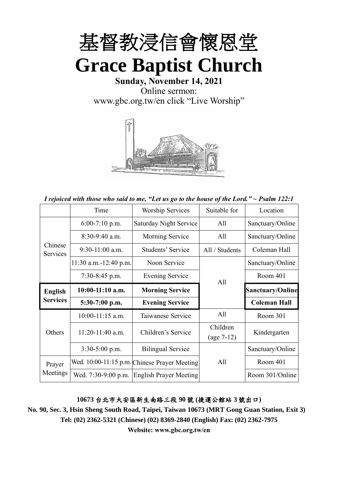

**Sunday, November 14, 2021** Online sermon: [www.gbc.org.tw/en](http://www.gbc.org.tw/en) click "Live Worship"



*I rejoiced with those who said to me, "Let us go to the house of the Lord." ~ Psalm 122:1*

|                     | Time                    | <b>Worship Services</b>                      | Suitable for   | Location                |
|---------------------|-------------------------|----------------------------------------------|----------------|-------------------------|
|                     | $6:00-7:10$ p.m.        | Saturday Night Service                       | All            | Sanctuary/Online        |
|                     | $8:30-9:40$ a.m.        | Morning Service                              | All            | Sanctuary/Online        |
| Chinese<br>Services | $9:30-11:00$ a.m.       | Students' Service                            | All / Students | Coleman Hall            |
|                     | $11:30$ a.m.-12:40 p.m. | Noon Service                                 |                | Sanctuary/Online        |
|                     | 7:30-8:45 p.m.          | <b>Evening Service</b>                       | All            | Room 401                |
| <b>English</b>      | $10:00-11:10$ a.m.      | <b>Morning Service</b>                       |                | <b>Sanctuary/Online</b> |
| <b>Services</b>     | 5:30-7:00 p.m.          | <b>Evening Service</b>                       |                | <b>Coleman Hall</b>     |
|                     | 10:00-11:15 a.m.        | Taiwanese Service                            | All            | Room 301                |
| Others              | $11:20-11:40$ a.m.      | Children's Service                           | Children       | Kindergarten            |
|                     |                         |                                              | $(age 7-12)$   |                         |
|                     | $3:30-5:00$ p.m.        | <b>Bilingual Service</b>                     |                | Sanctuary/Online        |
| Prayer              |                         | Wed. 10:00-11:15 p.m. Chinese Prayer Meeting | All            | Room 401                |
| Meetings            | Wed. 7:30-9:00 p.m.     | <b>English Prayer Meeting</b>                |                | Room 301/Online         |

#### **10673** 台北市大安區新生南路三段 **90** 號 **(**捷運公館站 **3** 號出口**)**

**No. 90, Sec. 3, Hsin Sheng South Road, Taipei, Taiwan 10673 (MRT Gong Guan Station, Exit 3) Tel: (02) 2362-5321 (Chinese) (02) 8369-2840 (English) Fax: (02) 2362-7975**

**Website: www.gbc.org.tw/en**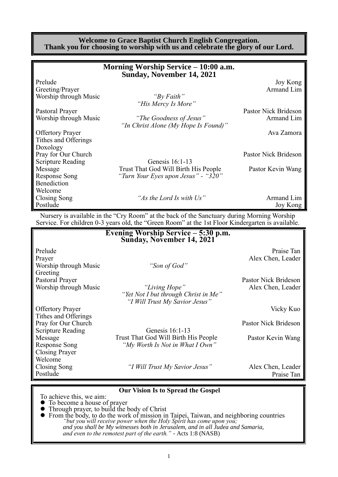#### **Welcome to Grace Baptist Church English Congregation. Thank you for choosing to worship with us and celebrate the glory of our Lord.**

|                          | Morning Worship Service – 10:00 a.m.<br>Sunday, November 14, 2021 |                      |
|--------------------------|-------------------------------------------------------------------|----------------------|
| Prelude                  |                                                                   | Joy Kong             |
| Greeting/Prayer          |                                                                   | Armand Lim           |
| Worship through Music    | "By Faith"                                                        |                      |
|                          | "His Mercy Is More"                                               |                      |
| Pastoral Prayer          |                                                                   | Pastor Nick Brideson |
| Worship through Music    | "The Goodness of Jesus"                                           | Armand Lim           |
|                          | "In Christ Alone (My Hope Is Found)"                              |                      |
| <b>Offertory Prayer</b>  |                                                                   | Ava Zamora           |
| Tithes and Offerings     |                                                                   |                      |
| Doxology                 |                                                                   |                      |
| Pray for Our Church      |                                                                   | Pastor Nick Brideson |
| <b>Scripture Reading</b> | Genesis 16:1-13                                                   |                      |
| Message                  | Trust That God Will Birth His People                              | Pastor Kevin Wang    |
| <b>Response Song</b>     | "Turn Your Eyes upon Jesus" - "320"                               |                      |
| Benediction              |                                                                   |                      |
| Welcome                  |                                                                   |                      |
| Closing Song             | "As the Lord Is with Us"                                          | Armand Lim           |
| Postlude                 |                                                                   | Joy Kong             |

Nursery is available in the "Cry Room" at the back of the Sanctuary during Morning Worship Service. For children 0-3 years old, the "Green Room" at the 1st Floor Kindergarten is available.

|                          | Evening Worship Service - 5:30 p.m.<br>Sunday, November 14, 2021 |                      |
|--------------------------|------------------------------------------------------------------|----------------------|
| Prelude                  |                                                                  | Praise Tan           |
| Prayer                   |                                                                  | Alex Chen, Leader    |
| Worship through Music    | "Son of God"                                                     |                      |
| Greeting                 |                                                                  |                      |
| Pastoral Prayer          |                                                                  | Pastor Nick Brideson |
| Worship through Music    | "Living Hope"                                                    | Alex Chen, Leader    |
|                          | "Yet Not I but through Christ in Me"                             |                      |
|                          | "I Will Trust My Savior Jesus"                                   |                      |
| <b>Offertory Prayer</b>  |                                                                  | Vicky Kuo            |
| Tithes and Offerings     |                                                                  |                      |
| Pray for Our Church      |                                                                  | Pastor Nick Brideson |
| <b>Scripture Reading</b> | Genesis 16:1-13                                                  |                      |
| Message                  | Trust That God Will Birth His People                             | Pastor Kevin Wang    |
| Response Song            | "My Worth Is Not in What I Own"                                  |                      |
| <b>Closing Prayer</b>    |                                                                  |                      |
| Welcome                  |                                                                  |                      |
| Closing Song             | "I Will Trust My Savior Jesus"                                   | Alex Chen, Leader    |
| Postlude                 |                                                                  | Praise Tan           |

#### **Our Vision Is to Spread the Gospel**

To achieve this, we aim:

- ⚫ To become a house of prayer
- ⚫ Through prayer, to build the body of Christ
- ⚫ From the body, to do the work of mission in Taipei, Taiwan, and neighboring countries *"but you will receive power when the Holy Spirit has come upon you; and you shall be My witnesses both in Jerusalem, and in all Judea and Samaria, and even to the remotest part of the earth." -* Acts 1:8 (NASB)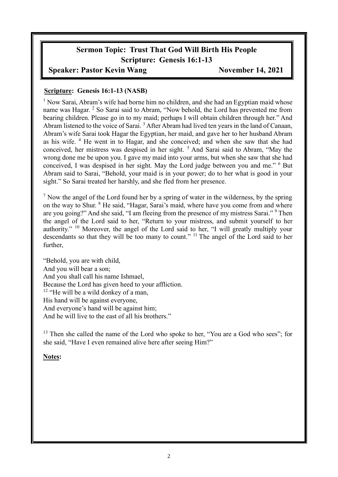# **Sermon Topic: Trust That God Will Birth His People Scripture: Genesis 16:1-13**

### **Speaker: Pastor Kevin Wang November 14, 2021**

### **Scripture: Genesis 16:1-13 (NASB)**

<sup>1</sup> Now Sarai, Abram's wife had borne him no children, and she had an Egyptian maid whose name was Hagar. <sup>2</sup> So Sarai said to Abram, "Now behold, the Lord has prevented me from bearing children. Please go in to my maid; perhaps I will obtain children through her." And Abram listened to the voice of Sarai.<sup>3</sup> After Abram had lived ten years in the land of Canaan, Abram's wife Sarai took Hagar the Egyptian, her maid, and gave her to her husband Abram as his wife. <sup>4</sup> He went in to Hagar, and she conceived; and when she saw that she had conceived, her mistress was despised in her sight. <sup>5</sup> And Sarai said to Abram, "May the wrong done me be upon you. I gave my maid into your arms, but when she saw that she had conceived, I was despised in her sight. May the Lord judge between you and me." <sup>6</sup> But Abram said to Sarai, "Behold, your maid is in your power; do to her what is good in your sight." So Sarai treated her harshly, and she fled from her presence.

 $<sup>7</sup>$  Now the angel of the Lord found her by a spring of water in the wilderness, by the spring</sup> on the way to Shur. <sup>8</sup> He said, "Hagar, Sarai's maid, where have you come from and where are you going?" And she said, "I am fleeing from the presence of my mistress Sarai." <sup>9</sup> Then the angel of the Lord said to her, "Return to your mistress, and submit yourself to her authority." <sup>10</sup> Moreover, the angel of the Lord said to her, "I will greatly multiply your descendants so that they will be too many to count." <sup>11</sup> The angel of the Lord said to her further,

"Behold, you are with child, And you will bear a son; And you shall call his name Ishmael, Because the Lord has given heed to your affliction. <sup>12</sup> "He will be a wild donkey of a man, His hand will be against everyone, And everyone's hand will be against him; And he will live to the east of all his brothers."

<sup>13</sup> Then she called the name of the Lord who spoke to her, "You are a God who sees"; for she said, "Have I even remained alive here after seeing Him?"

### **Notes:**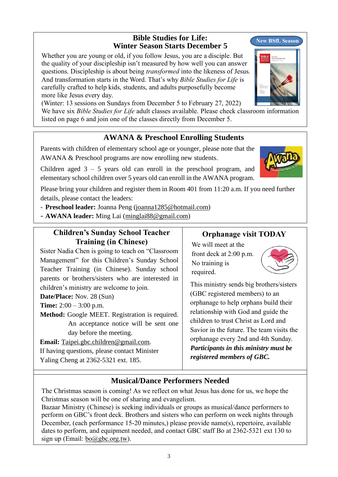### **Bible Studies for Life: Winter Season Starts December 5**

Whether you are young or old, if you follow Jesus, you are a disciple. But the quality of your discipleship isn't measured by how well you can answer questions. Discipleship is about being *transformed* into the likeness of Jesus. And transformation starts in the Word. That's why *Bible Studies for Life* is carefully crafted to help kids, students, and adults purposefully become more like Jesus every day.

(Winter: 13 sessions on Sundays from December 5 to February 27, 2022)

We have six *Bible Studies for Life* adult classes available. Please check classroom information listed on page 6 and join one of the classes directly from December 5.

## **AWANA & Preschool Enrolling Students**

Parents with children of elementary school age or younger, please note that the AWANA & Preschool programs are now enrolling new students.

Children aged  $3 - 5$  years old can enroll in the preschool program, and elementary school children over 5 years old can enroll in the AWANA program.

Please bring your children and register them in Room 401 from 11:20 a.m. If you need further details, please contact the leaders:

- **Preschool leader:** Joanna Peng [\(joanna1285@hotmail.com\)](mailto:joanna1285@hotmail.com)

- **AWANA leader:** Ming Lai [\(minglai88@gmail.com\)](mailto:minglai88@gmail.com)

### **Children's Sunday School Teacher Training (in Chinese)**

Sister Nadia Chen is going to teach on "Classroom Management" for this Children's Sunday School Teacher Training (in Chinese). Sunday school parents or brothers/sisters who are interested in children's ministry are welcome to join.

**Date/Place:** Nov. 28 (Sun)

**Time:** 2:00 – 3:00 p.m.

**Method:** Google MEET. Registration is required. An acceptance notice will be sent one day before the meeting.

**Email:** [Taipei.gbc.children@gmail.com.](mailto:Taipei.gbc.children@gmail.com) If having questions, please contact Minister Yaling Cheng at 2362-5321 ext. 185.

## **Orphanage visit TODAY**

We will meet at the front deck at 2:00 p.m. No training is required.

This ministry sends big brothers/sisters (GBC registered members) to an orphanage to help orphans build their relationship with God and guide the children to trust Christ as Lord and Savior in the future. The team visits the orphanage every 2nd and 4th Sunday. *Participants in this ministry must be registered members of GBC.*

# **Musical/Dance Performers Needed**

The Christmas season is coming! As we reflect on what Jesus has done for us, we hope the Christmas season will be one of sharing and evangelism.

Bazaar Ministry (Chinese) is seeking individuals or groups as musical/dance performers to perform on GBC's front deck. Brothers and sisters who can perform on week nights through December, (each performance 15-20 minutes,) please provide name(s), repertoire, available dates to perform, and equipment needed, and contact GBC staff Bo at 2362-5321 ext 130 to sign up (Email:  $bo@gbc.org.tw$ ).







**New BSfL Season**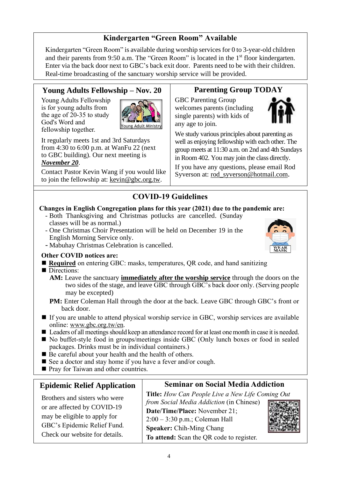# **Kindergarten "Green Room" Available**

Kindergarten "Green Room" is available during worship services for 0 to 3-year-old children and their parents from 9:50 a.m. The "Green Room" is located in the 1<sup>st</sup> floor kindergarten. Enter via the back door next to GBC's back exit door. Parents need to be with their children. Real-time broadcasting of the sanctuary worship service will be provided.

## **Young Adults Fellowship – Nov. 20**

Young Adults Fellowship is for young adults from the age of 20-35 to study God's Word and fellowship together.



It regularly meets 1st and 3rd Saturdays from 4:30 to 6:00 p.m. at WanFu 22 (next to GBC building). Our next meeting is *November 20*.

Contact Pastor Kevin Wang if you would like to join the fellowship at: [kevin@gbc.org.tw.](mailto:kevin@gbc.org.tw)

# **Parenting Group TODAY**

GBC Parenting Group welcomes parents (including single parents) with kids of any age to join.



We study various principles about parenting as well as enjoying fellowship with each other. The group meets at 11:30 a.m. on 2nd and 4th Sundays in Room 402. You may join the class directly.

If you have any questions, please email Rod Syverson at: [rod\\_syverson@hotmail.com](mailto:rod_syverson@hotmail.com).

## **COVID-19 Guidelines**

#### **Changes in English Congregation plans for this year (2021) due to the pandemic are:**

- Both Thanksgiving and Christmas potlucks are cancelled. (Sunday classes will be as normal.)
- One Christmas Choir Presentation will be held on December 19 in the English Morning Service only.
- Mabuhay Christmas Celebration is cancelled.

### **Other COVID notices are:**

- **Required** on entering GBC: masks, temperatures, QR code, and hand sanitizing
- Directions:
	- **AM:** Leave the sanctuary **immediately after the worship service** through the doors on the two sides of the stage, and leave GBC through GBC's back door only. (Serving people may be excepted)
	- **PM:** Enter Coleman Hall through the door at the back. Leave GBC through GBC's front or back door.
- If you are unable to attend physical worship service in GBC, worship services are available online: [www.gbc.org.tw/en.](http://www.gbc.org.tw/en)
- Leaders of all meetings should keep an attendance record for at least one month in case it is needed.
- No buffet-style food in groups/meetings inside GBC (Only lunch boxes or food in sealed packages. Drinks must be in individual containers.)
- Be careful about your health and the health of others.
- See a doctor and stay home if you have a fever and/or cough.
- Pray for Taiwan and other countries.

### **Epidemic Relief Application**

Brothers and sisters who were or are affected by COVID-19 may be eligible to apply for GBC's Epidemic Relief Fund. Check our website for details.

### **Seminar on Social Media Addiction**

**Title:** *How Can People Live a New Life Coming Out from Social Media Addiction* (in Chinese) **Date/Time/Place:** November 21; 2:00 – 3:30 p.m.; Coleman Hall **Speaker:** Chih-Ming Chang **To attend:** Scan the QR code to register.



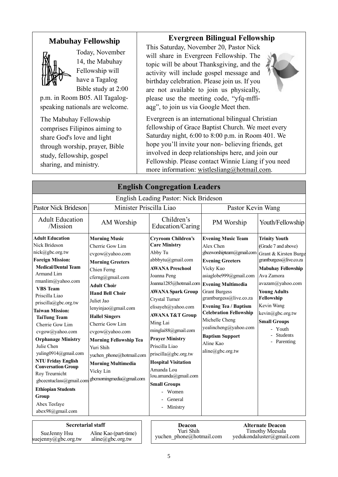## **Mabuhay Fellowship**



Today, November 14, the Mabuhay Fellowship will have a Tagalog Bible study at 2:00

p.m. in Room B05. All Tagalogspeaking nationals are welcome.

The Mabuhay Fellowship comprises Filipinos aiming to share God's love and light through worship, prayer, Bible study, fellowship, gospel sharing, and ministry.

### **Evergreen Bilingual Fellowship**

This Saturday, November 20, Pastor Nick will share in Evergreen Fellowship. The topic will be about Thanksgiving, and the activity will include gospel message and birthday celebration. Please join us. If you are not available to join us physically, please use the meeting code, "yfq-mffiaqg", to join us via Google Meet then.

Evergreen is an international bilingual Christian fellowship of Grace Baptist Church. We meet every Saturday night, 6:00 to 8:00 p.m. in Room 401. We hope you'll invite your non- believing friends, get involved in deep relationships here, and join our Fellowship. Please contact Winnie Liang if you need more information: [wistlesliang@hotmail.com.](mailto:wistlesliang@hotmail.com)

| <b>English Congregation Leaders</b>                                                                                                                                                                                                                                                                                                                                                                                                                                                                                                                            |                                                                                                                                                                                                                                                                                                                                                                                                                               |                                                                                                                                                                                                                                                                                                                                                                                                                                                                                                               |                                                                                                                                                                                                                                                                                                                                                                 |                                                                                                                                                                                                                                                                                                           |
|----------------------------------------------------------------------------------------------------------------------------------------------------------------------------------------------------------------------------------------------------------------------------------------------------------------------------------------------------------------------------------------------------------------------------------------------------------------------------------------------------------------------------------------------------------------|-------------------------------------------------------------------------------------------------------------------------------------------------------------------------------------------------------------------------------------------------------------------------------------------------------------------------------------------------------------------------------------------------------------------------------|---------------------------------------------------------------------------------------------------------------------------------------------------------------------------------------------------------------------------------------------------------------------------------------------------------------------------------------------------------------------------------------------------------------------------------------------------------------------------------------------------------------|-----------------------------------------------------------------------------------------------------------------------------------------------------------------------------------------------------------------------------------------------------------------------------------------------------------------------------------------------------------------|-----------------------------------------------------------------------------------------------------------------------------------------------------------------------------------------------------------------------------------------------------------------------------------------------------------|
| English Leading Pastor: Nick Brideson                                                                                                                                                                                                                                                                                                                                                                                                                                                                                                                          |                                                                                                                                                                                                                                                                                                                                                                                                                               |                                                                                                                                                                                                                                                                                                                                                                                                                                                                                                               |                                                                                                                                                                                                                                                                                                                                                                 |                                                                                                                                                                                                                                                                                                           |
| Minister Priscilla Liao<br><b>Pastor Nick Brideson</b>                                                                                                                                                                                                                                                                                                                                                                                                                                                                                                         |                                                                                                                                                                                                                                                                                                                                                                                                                               |                                                                                                                                                                                                                                                                                                                                                                                                                                                                                                               | Pastor Kevin Wang                                                                                                                                                                                                                                                                                                                                               |                                                                                                                                                                                                                                                                                                           |
| <b>Adult Education</b><br>/Mission                                                                                                                                                                                                                                                                                                                                                                                                                                                                                                                             | AM Worship                                                                                                                                                                                                                                                                                                                                                                                                                    | Children's<br>Education/Caring                                                                                                                                                                                                                                                                                                                                                                                                                                                                                | PM Worship                                                                                                                                                                                                                                                                                                                                                      | Youth/Fellowship                                                                                                                                                                                                                                                                                          |
| <b>Adult Education</b><br>Nick Brideson<br>nick@gbc.org.tw<br><b>Foreign Mission:</b><br><b>Medical/Dental Team</b><br>Armand Lim<br>rmanlim@yahoo.com<br><b>VBS</b> Team<br>Priscilla Liao<br>priscilla@gbc.org.tw<br><b>Taiwan Mission:</b><br><b>TaiTung Team</b><br>Cherrie Gow Lim<br>cvgow@yahoo.com<br><b>Orphanage Ministry</b><br>Julie Chen<br>yuling0914@gmail.com<br><b>NTU Friday English</b><br><b>Conversation Group</b><br>Roy Treurnicht<br>gbcecntuclass@gmail.com<br><b>Ethiopian Students</b><br>Group<br>Abex Tesfaye<br>abex98@gmail.com | <b>Morning Music</b><br>Cherrie Gow Lim<br>cvgow@yahoo.com<br><b>Morning Greeters</b><br>Chien Ferng<br>cferng@gmail.com<br><b>Adult Choir</b><br><b>Hand Bell Choir</b><br>Juliet Jao<br>lenyinjao@gmail.com<br><b>Hallel Singers</b><br>Cherrie Gow Lim<br>cvgow@yahoo.com<br><b>Morning Fellowship Tea</b><br>Yuri Shih<br>yuchen phone@hotmail.com<br><b>Morning Multimedia</b><br>Vicky Lin<br>gbcmorningmedia@gmail.com | <b>Cryroom Children's</b><br><b>Care Ministry</b><br>Abby Tu<br>abbbytu@gmail.com<br><b>AWANA Preschool</b><br>Joanna Peng<br>Joanna1285@hotmail.com Evening Multimedia<br><b>AWANA Spark Group</b><br>Crystal Turner<br>elisayeh@yahoo.com<br><b>AWANA T&amp;T Group</b><br>Ming Lai<br>minglai88@gmail.com<br><b>Prayer Ministry</b><br>Priscilla Liao<br>priscilla@gbc.org.tw<br><b>Hospital Visitation</b><br>Amanda Lou<br>lou.amanda@gmail.com<br><b>Small Groups</b><br>Women<br>General<br>- Ministry | <b>Evening Music Team</b><br>Alex Chen<br>gbceworshipteam@gmail.com<br><b>Evening Greeters</b><br>Vicky Kuo<br>asiaglobe999@gmail.com<br><b>Grant Burgess</b><br>grantburgess@live.co.za<br><b>Evening Tea / Baptism</b><br><b>Celebration Fellowship</b><br>Michelle Cheng<br>yealincheng@yahoo.com<br><b>Baptism Support</b><br>Aline Kao<br>aline@gbc.org.tw | <b>Trinity Youth</b><br>(Grade 7 and above)<br>Grant & Kirsten Burge<br>grantburgess@live.co.za<br><b>Mabuhay Fellowship</b><br>Ava Zamora<br>avazam@yahoo.com<br><b>Young Adults</b><br>Fellowship<br>Kevin Wang<br>kevin@gbc.org.tw<br><b>Small Groups</b><br>- Youth<br><b>Students</b><br>- Parenting |
| Rogratorial staff<br>Altownate Degge<br>$\mathbf{D}$                                                                                                                                                                                                                                                                                                                                                                                                                                                                                                           |                                                                                                                                                                                                                                                                                                                                                                                                                               |                                                                                                                                                                                                                                                                                                                                                                                                                                                                                                               |                                                                                                                                                                                                                                                                                                                                                                 |                                                                                                                                                                                                                                                                                                           |

**Secretarial staff Deacon** SueJenny Hsu Aline Kao (part-time)<br>
yuchen phone@hotmail.com [yedukondaluster@gmail.com](mailto:yedukondaluster@gmail.com)<br>
yuchen phone@hotmail.com yedukondaluster@gmail.com suejenny@gbc.org.tw Aline Kao (part-time) aline@gbc.org.tw

Yuri Shih yuchen\_phone@hotmail.com

**Alternate Deacon** Timothy Meesala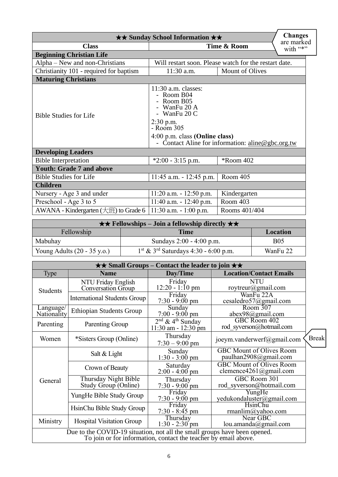| <b>Changes</b><br><b>★★ Sunday School Information ★★</b>                                                                                                                                                                           |                               |                                                       |  |  |
|------------------------------------------------------------------------------------------------------------------------------------------------------------------------------------------------------------------------------------|-------------------------------|-------------------------------------------------------|--|--|
| <b>Class</b>                                                                                                                                                                                                                       |                               | are marked<br>Time & Room<br>with "*"                 |  |  |
| <b>Beginning Christian Life</b>                                                                                                                                                                                                    |                               |                                                       |  |  |
| Alpha – New and non-Christians                                                                                                                                                                                                     |                               | Will restart soon. Please watch for the restart date. |  |  |
| Christianity 101 - required for baptism                                                                                                                                                                                            | Mount of Olives<br>11:30 a.m. |                                                       |  |  |
| <b>Maturing Christians</b>                                                                                                                                                                                                         |                               |                                                       |  |  |
| $11:30$ a.m. classes:<br>- Room B04<br>Room B05<br>WanFu 20 A<br>- WanFu 20 C<br><b>Bible Studies for Life</b><br>$2:30$ p.m.<br>- Room 305<br>4:00 p.m. class (Online class)<br>- Contact Aline for information: aline@gbc.org.tw |                               |                                                       |  |  |
| <b>Developing Leaders</b>                                                                                                                                                                                                          |                               |                                                       |  |  |
| <b>Bible Interpretation</b>                                                                                                                                                                                                        | $*2:00 - 3:15$ p.m.           | *Room 402                                             |  |  |
| <b>Youth: Grade 7 and above</b>                                                                                                                                                                                                    |                               |                                                       |  |  |
| <b>Bible Studies for Life</b>                                                                                                                                                                                                      | $11:45$ a.m. $-12:45$ p.m.    | Room 405                                              |  |  |
| <b>Children</b>                                                                                                                                                                                                                    |                               |                                                       |  |  |
| Nursery - Age 3 and under                                                                                                                                                                                                          | $11:20$ a.m. $-12:50$ p.m.    | Kindergarten                                          |  |  |
| Preschool - Age 3 to 5                                                                                                                                                                                                             | $11:40$ a.m. $-12:40$ p.m.    | Room 403                                              |  |  |
| AWANA - Kindergarten $(\pm 1)$ to Grade 6                                                                                                                                                                                          | $11:30$ a.m. $-1:00$ p.m.     | Rooms 401/404                                         |  |  |

| $\star \star$ Fellowships – Join a fellowship directly $\star \star$ |                                                              |            |
|----------------------------------------------------------------------|--------------------------------------------------------------|------------|
| Fellowship                                                           | Time                                                         | Location   |
| Mabuhay                                                              | Sundays 2:00 - 4:00 p.m.                                     | <b>B05</b> |
| Young Adults $(20 - 35 \text{ y.o.})$                                | $1^{\text{st}}$ & $3^{\text{rd}}$ Saturdays 4:30 - 6:00 p.m. | WanFu 22   |

| $\star \star$ Small Groups – Contact the leader to join $\star \star$ |                                                                                                                                              |                                                           |                                                          |              |
|-----------------------------------------------------------------------|----------------------------------------------------------------------------------------------------------------------------------------------|-----------------------------------------------------------|----------------------------------------------------------|--------------|
| Type                                                                  | <b>Name</b>                                                                                                                                  | <b>Location/Contact Emails</b><br>Day/Time                |                                                          |              |
| <b>Students</b>                                                       | NTU Friday English<br>Conversation Group                                                                                                     | Friday<br>$12:20 - 1:10 \text{ pm}$                       | <b>NTU</b><br>roytreur@gmail.com                         |              |
|                                                                       | <b>International Students Group</b>                                                                                                          | Friday<br>$7:30 - 9:00 \text{ pm}$                        | WanFu 22A<br>cesaledro57@gmail.com                       |              |
| Language/<br>Nationality                                              | <b>Ethiopian Students Group</b>                                                                                                              | $\overline{\text{S}}$ unday<br>$7:00 - 9:00$ pm           | Room 307<br>abex98@gmail.com                             |              |
| Parenting                                                             | Parenting Group                                                                                                                              | $2nd$ & 4 <sup>th</sup> Sunday<br>$11:30$ am - $12:30$ pm | GBC Room 402<br>rod syverson@hotmail.com                 |              |
| Women                                                                 | *Sisters Group (Online)                                                                                                                      | Thursday<br>$7:30 - 9:00$ pm                              | joeym.vanderwerf@gmail.com                               | <b>Break</b> |
|                                                                       | Salt & Light                                                                                                                                 | Sunday<br>$1:30 - 3:00$ pm                                | <b>GBC Mount of Olives Room</b><br>paulhan2908@gmail.com |              |
|                                                                       | Crown of Beauty                                                                                                                              | Saturday<br>$2:00 - 4:00$ pm                              | GBC Mount of Olives Room<br>clemence4261@gmail.com       |              |
| General                                                               | Thursday Night Bible<br>Study Group (Online)                                                                                                 | Thursday<br>$7:30 - 9:00$ pm                              | GBC Room 301<br>rod_syverson@hotmail.com                 |              |
|                                                                       | YungHe Bible Study Group                                                                                                                     | Friday<br>$7:30 - 9:00 \text{ pm}$                        | YungHe<br>yedukondaluster@gmail.com                      |              |
|                                                                       | HsinChu Bible Study Group                                                                                                                    | Friday<br>$7:30 - 8:45$ pm                                | HsinChu<br>rmanlim@yahoo.com                             |              |
| Ministry                                                              | <b>Hospital Visitation Group</b>                                                                                                             | Thursday<br>$1:30 - 2:30$ pm                              | Near GBC<br>lou.amanda@gmail.com                         |              |
|                                                                       | Due to the COVID-19 situation, not all the small groups have been opened.<br>To join or for information, contact the teacher by email above. |                                                           |                                                          |              |